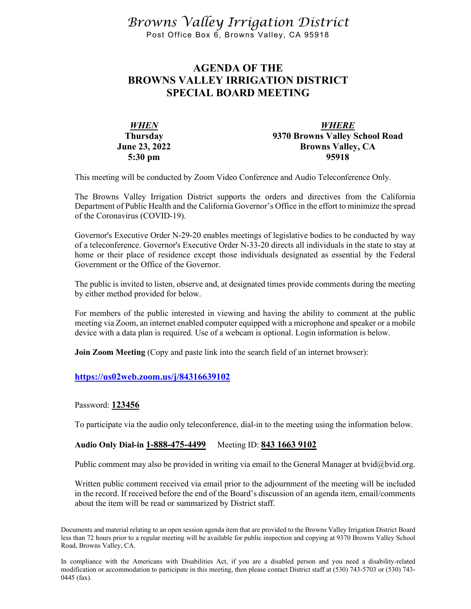*Browns Valley Irrigation District* Post Office Box 6, Browns Valley, CA 95918

# **AGENDA OF THE BROWNS VALLEY IRRIGATION DISTRICT SPECIAL BOARD MEETING**

| <b>WHEN</b>          | <b>WHERE</b>                   |
|----------------------|--------------------------------|
| <b>Thursday</b>      | 9370 Browns Valley School Road |
| <b>June 23, 2022</b> | <b>Browns Valley, CA</b>       |
| $5:30 \text{ pm}$    | 95918                          |

This meeting will be conducted by Zoom Video Conference and Audio Teleconference Only.

The Browns Valley Irrigation District supports the orders and directives from the California Department of Public Health and the California Governor's Office in the effort to minimize the spread of the Coronavirus (COVID-19).

Governor's Executive Order N-29-20 enables meetings of legislative bodies to be conducted by way of a teleconference. Governor's Executive Order N-33-20 directs all individuals in the state to stay at home or their place of residence except those individuals designated as essential by the Federal Government or the Office of the Governor.

The public is invited to listen, observe and, at designated times provide comments during the meeting by either method provided for below.

For members of the public interested in viewing and having the ability to comment at the public meeting via Zoom, an internet enabled computer equipped with a microphone and speaker or a mobile device with a data plan is required. Use of a webcam is optional. Login information is below.

**Join Zoom Meeting** (Copy and paste link into the search field of an internet browser):

### **<https://us02web.zoom.us/j/84316639102>**

### Password: **123456**

To participate via the audio only teleconference, dial-in to the meeting using the information below.

### **Audio Only Dial-in 1-888-475-4499** Meeting ID: **843 1663 9102**

Public comment may also be provided in writing via email to the General Manager at bvid@bvid.org.

Written public comment received via email prior to the adjournment of the meeting will be included in the record. If received before the end of the Board's discussion of an agenda item, email/comments about the item will be read or summarized by District staff.

Documents and material relating to an open session agenda item that are provided to the Browns Valley Irrigation District Board less than 72 hours prior to a regular meeting will be available for public inspection and copying at 9370 Browns Valley School Road, Browns Valley, CA.

In compliance with the Americans with Disabilities Act, if you are a disabled person and you need a disability-related modification or accommodation to participate in this meeting, then please contact District staff at (530) 743-5703 or (530) 743- 0445 (fax).